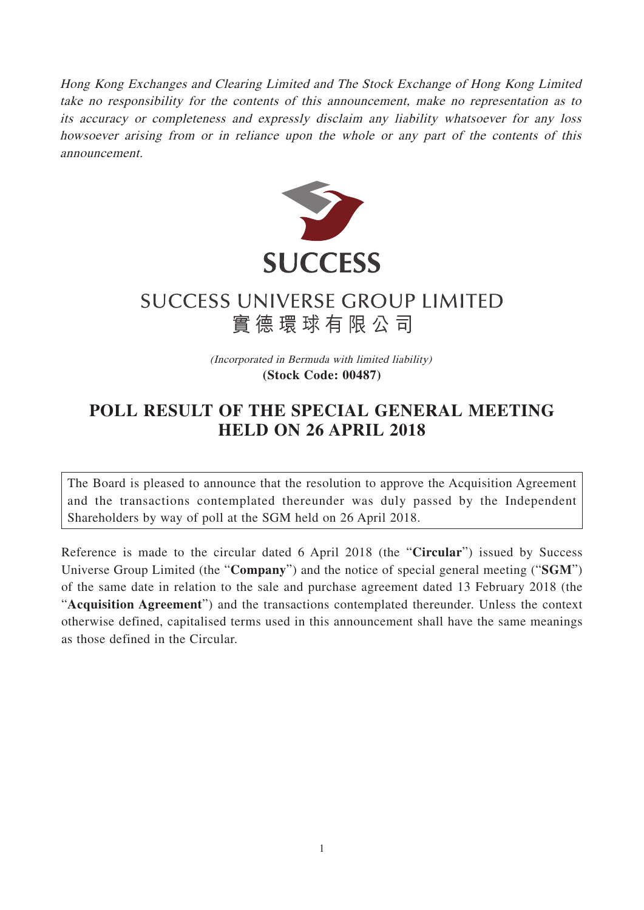Hong Kong Exchanges and Clearing Limited and The Stock Exchange of Hong Kong Limited take no responsibility for the contents of this announcement, make no representation as to its accuracy or completeness and expressly disclaim any liability whatsoever for any loss howsoever arising from or in reliance upon the whole or any part of the contents of this announcement.



## **SUCCESS UNIVERSE GROUP LIMITED** 實德環球有限公司

(Incorporated in Bermuda with limited liability) **(Stock Code: 00487)**

## **POLL RESULT OF THE SPECIAL GENERAL MEETING HELD ON 26 APRIL 2018**

The Board is pleased to announce that the resolution to approve the Acquisition Agreement and the transactions contemplated thereunder was duly passed by the Independent Shareholders by way of poll at the SGM held on 26 April 2018.

Reference is made to the circular dated 6 April 2018 (the "**Circular**") issued by Success Universe Group Limited (the "**Company**") and the notice of special general meeting ("**SGM**") of the same date in relation to the sale and purchase agreement dated 13 February 2018 (the "**Acquisition Agreement**") and the transactions contemplated thereunder. Unless the context otherwise defined, capitalised terms used in this announcement shall have the same meanings as those defined in the Circular.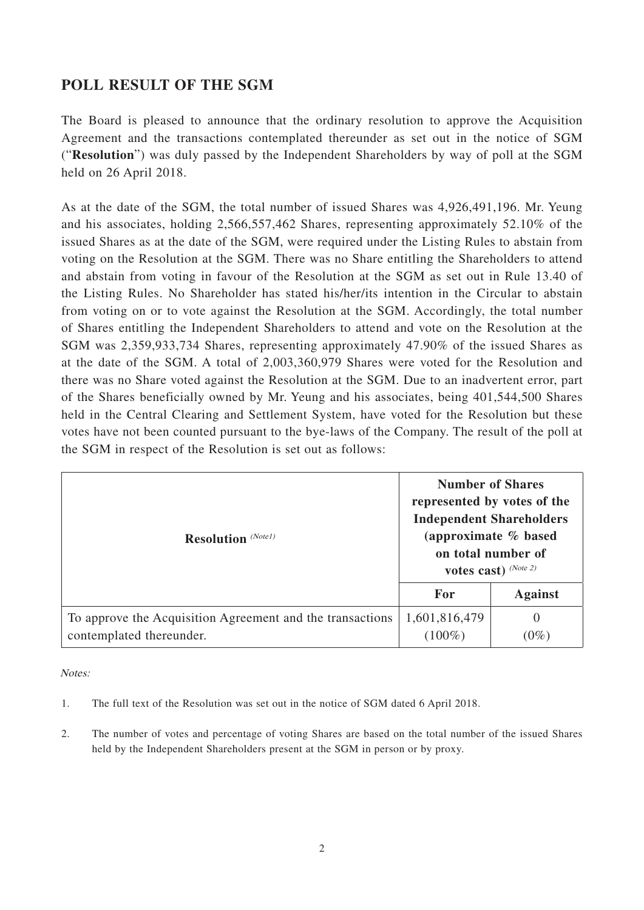## **POLL RESULT OF THE SGM**

The Board is pleased to announce that the ordinary resolution to approve the Acquisition Agreement and the transactions contemplated thereunder as set out in the notice of SGM ("**Resolution**") was duly passed by the Independent Shareholders by way of poll at the SGM held on 26 April 2018.

As at the date of the SGM, the total number of issued Shares was 4,926,491,196. Mr. Yeung and his associates, holding 2,566,557,462 Shares, representing approximately 52.10% of the issued Shares as at the date of the SGM, were required under the Listing Rules to abstain from voting on the Resolution at the SGM. There was no Share entitling the Shareholders to attend and abstain from voting in favour of the Resolution at the SGM as set out in Rule 13.40 of the Listing Rules. No Shareholder has stated his/her/its intention in the Circular to abstain from voting on or to vote against the Resolution at the SGM. Accordingly, the total number of Shares entitling the Independent Shareholders to attend and vote on the Resolution at the SGM was 2,359,933,734 Shares, representing approximately 47.90% of the issued Shares as at the date of the SGM. A total of 2,003,360,979 Shares were voted for the Resolution and there was no Share voted against the Resolution at the SGM. Due to an inadvertent error, part of the Shares beneficially owned by Mr. Yeung and his associates, being 401,544,500 Shares held in the Central Clearing and Settlement System, have voted for the Resolution but these votes have not been counted pursuant to the bye-laws of the Company. The result of the poll at the SGM in respect of the Resolution is set out as follows:

| <b>Resolution</b> (Notel)                                                             | <b>Number of Shares</b><br>represented by votes of the<br><b>Independent Shareholders</b><br>(approximate % based<br>on total number of<br>votes cast) $(Note 2)$ |                     |
|---------------------------------------------------------------------------------------|-------------------------------------------------------------------------------------------------------------------------------------------------------------------|---------------------|
|                                                                                       | <b>For</b>                                                                                                                                                        | <b>Against</b>      |
| To approve the Acquisition Agreement and the transactions<br>contemplated thereunder. | 1,601,816,479<br>$(100\%)$                                                                                                                                        | $\theta$<br>$(0\%)$ |

Notes:

- 1. The full text of the Resolution was set out in the notice of SGM dated 6 April 2018.
- 2. The number of votes and percentage of voting Shares are based on the total number of the issued Shares held by the Independent Shareholders present at the SGM in person or by proxy.